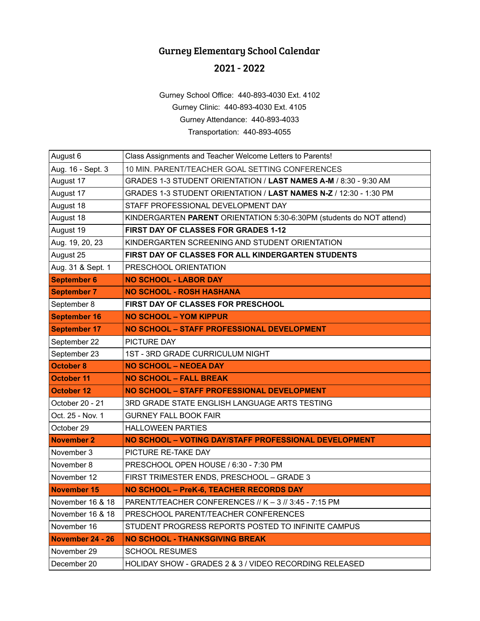## Gurney Elementary School Calendar

## 2021 - 2022

Gurney School Office: 440-893-4030 Ext. 4102 Gurney Clinic: 440-893-4030 Ext. 4105 Gurney Attendance: 440-893-4033 Transportation: 440-893-4055

| August 6            | Class Assignments and Teacher Welcome Letters to Parents!            |
|---------------------|----------------------------------------------------------------------|
| Aug. 16 - Sept. 3   | 10 MIN. PARENT/TEACHER GOAL SETTING CONFERENCES                      |
| August 17           | GRADES 1-3 STUDENT ORIENTATION / LAST NAMES A-M / 8:30 - 9:30 AM     |
| August 17           | GRADES 1-3 STUDENT ORIENTATION / LAST NAMES N-Z / 12:30 - 1:30 PM    |
| August 18           | STAFF PROFESSIONAL DEVELOPMENT DAY                                   |
| August 18           | KINDERGARTEN PARENT ORIENTATION 5:30-6:30PM (students do NOT attend) |
| August 19           | FIRST DAY OF CLASSES FOR GRADES 1-12                                 |
| Aug. 19, 20, 23     | KINDERGARTEN SCREENING AND STUDENT ORIENTATION                       |
| August 25           | FIRST DAY OF CLASSES FOR ALL KINDERGARTEN STUDENTS                   |
| Aug. 31 & Sept. 1   | PRESCHOOL ORIENTATION                                                |
| <b>September 6</b>  | <b>NO SCHOOL - LABOR DAY</b>                                         |
| <b>September 7</b>  | <b>NO SCHOOL - ROSH HASHANA</b>                                      |
| September 8         | FIRST DAY OF CLASSES FOR PRESCHOOL                                   |
| <b>September 16</b> | <b>NO SCHOOL - YOM KIPPUR</b>                                        |
| <b>September 17</b> | NO SCHOOL - STAFF PROFESSIONAL DEVELOPMENT                           |
| September 22        | PICTURE DAY                                                          |
| September 23        | 1ST - 3RD GRADE CURRICULUM NIGHT                                     |
| <b>October 8</b>    | <b>NO SCHOOL - NEOEA DAY</b>                                         |
| <b>October 11</b>   | <b>NO SCHOOL - FALL BREAK</b>                                        |
| <b>October 12</b>   | NO SCHOOL - STAFF PROFESSIONAL DEVELOPMENT                           |
| October 20 - 21     | 3RD GRADE STATE ENGLISH LANGUAGE ARTS TESTING                        |
| Oct. 25 - Nov. 1    | <b>GURNEY FALL BOOK FAIR</b>                                         |
| October 29          | <b>HALLOWEEN PARTIES</b>                                             |
| <b>November 2</b>   | NO SCHOOL - VOTING DAY/STAFF PROFESSIONAL DEVELOPMENT                |
| November 3          | PICTURE RE-TAKE DAY                                                  |
| November 8          | PRESCHOOL OPEN HOUSE / 6:30 - 7:30 PM                                |
| November 12         | FIRST TRIMESTER ENDS, PRESCHOOL - GRADE 3                            |
| <b>November 15</b>  | NO SCHOOL - PreK-6, TEACHER RECORDS DAY                              |
| November 16 & 18    | PARENT/TEACHER CONFERENCES // K - 3 // 3:45 - 7:15 PM                |
| November 16 & 18    | PRESCHOOL PARENT/TEACHER CONFERENCES                                 |
| November 16         | STUDENT PROGRESS REPORTS POSTED TO INFINITE CAMPUS                   |
| November 24 - 26    | <b>NO SCHOOL - THANKSGIVING BREAK</b>                                |
| November 29         | <b>SCHOOL RESUMES</b>                                                |
| December 20         | HOLIDAY SHOW - GRADES 2 & 3 / VIDEO RECORDING RELEASED               |